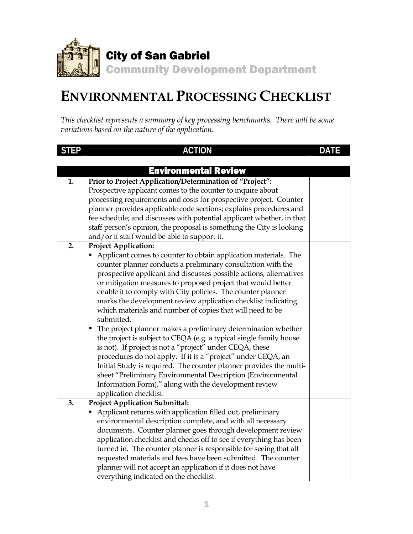

## **ENVIRONMENTAL PROCESSING CHECKLIST**

*This checklist represents a summary of key processing benchmarks. There will be some variations based on the nature of the application.* 

| <b>STEP</b> | <b>ACTION</b>                                                         | DATE |
|-------------|-----------------------------------------------------------------------|------|
|             |                                                                       |      |
|             | <b>Environmental Review</b>                                           |      |
| 1.          | Prior to Project Application/Determination of "Project":              |      |
|             | Prospective applicant comes to the counter to inquire about           |      |
|             | processing requirements and costs for prospective project. Counter    |      |
|             | planner provides applicable code sections; explains procedures and    |      |
|             | fee schedule; and discusses with potential applicant whether, in that |      |
|             | staff person's opinion, the proposal is something the City is looking |      |
|             | and/or if staff would be able to support it.                          |      |
| 2.          | <b>Project Application:</b>                                           |      |
|             | Applicant comes to counter to obtain application materials. The       |      |
|             | counter planner conducts a preliminary consultation with the          |      |
|             | prospective applicant and discusses possible actions, alternatives    |      |
|             | or mitigation measures to proposed project that would better          |      |
|             | enable it to comply with City policies. The counter planner           |      |
|             | marks the development review application checklist indicating         |      |
|             | which materials and number of copies that will need to be             |      |
|             | submitted.                                                            |      |
|             | The project planner makes a preliminary determination whether<br>٠    |      |
|             | the project is subject to CEQA (e.g. a typical single family house    |      |
|             | is not). If project is not a "project" under CEQA, these              |      |
|             | procedures do not apply. If it is a "project" under CEQA, an          |      |
|             | Initial Study is required. The counter planner provides the multi-    |      |
|             | sheet "Preliminary Environmental Description (Environmental           |      |
|             | Information Form)," along with the development review                 |      |
|             | application checklist.                                                |      |
| 3.          | <b>Project Application Submittal:</b>                                 |      |
|             | Applicant returns with application filled out, preliminary            |      |
|             | environmental description complete, and with all necessary            |      |
|             | documents. Counter planner goes through development review            |      |
|             | application checklist and checks off to see if everything has been    |      |
|             | turned in. The counter planner is responsible for seeing that all     |      |
|             | requested materials and fees have been submitted. The counter         |      |
|             | planner will not accept an application if it does not have            |      |
|             | everything indicated on the checklist.                                |      |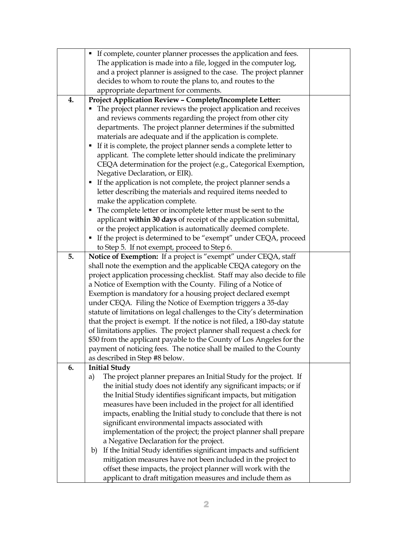|    | If complete, counter planner processes the application and fees.<br>٠     |  |  |  |
|----|---------------------------------------------------------------------------|--|--|--|
|    | The application is made into a file, logged in the computer log,          |  |  |  |
|    | and a project planner is assigned to the case. The project planner        |  |  |  |
|    | decides to whom to route the plans to, and routes to the                  |  |  |  |
|    | appropriate department for comments.                                      |  |  |  |
| 4. | Project Application Review - Complete/Incomplete Letter:                  |  |  |  |
|    | The project planner reviews the project application and receives          |  |  |  |
|    | and reviews comments regarding the project from other city                |  |  |  |
|    | departments. The project planner determines if the submitted              |  |  |  |
|    | materials are adequate and if the application is complete.                |  |  |  |
|    | If it is complete, the project planner sends a complete letter to<br>٠    |  |  |  |
|    | applicant. The complete letter should indicate the preliminary            |  |  |  |
|    | CEQA determination for the project (e.g., Categorical Exemption,          |  |  |  |
|    | Negative Declaration, or EIR).                                            |  |  |  |
|    | If the application is not complete, the project planner sends a<br>٠      |  |  |  |
|    | letter describing the materials and required items needed to              |  |  |  |
|    | make the application complete.                                            |  |  |  |
|    | The complete letter or incomplete letter must be sent to the<br>п         |  |  |  |
|    | applicant within 30 days of receipt of the application submittal,         |  |  |  |
|    | or the project application is automatically deemed complete.              |  |  |  |
|    | If the project is determined to be "exempt" under CEQA, proceed<br>Г      |  |  |  |
|    | to Step 5. If not exempt, proceed to Step 6.                              |  |  |  |
| 5. | Notice of Exemption: If a project is "exempt" under CEQA, staff           |  |  |  |
|    | shall note the exemption and the applicable CEQA category on the          |  |  |  |
|    | project application processing checklist. Staff may also decide to file   |  |  |  |
|    | a Notice of Exemption with the County. Filing of a Notice of              |  |  |  |
|    | Exemption is mandatory for a housing project declared exempt              |  |  |  |
|    | under CEQA. Filing the Notice of Exemption triggers a 35-day              |  |  |  |
|    | statute of limitations on legal challenges to the City's determination    |  |  |  |
|    | that the project is exempt. If the notice is not filed, a 180-day statute |  |  |  |
|    | of limitations applies. The project planner shall request a check for     |  |  |  |
|    | \$50 from the applicant payable to the County of Los Angeles for the      |  |  |  |
|    | payment of noticing fees. The notice shall be mailed to the County        |  |  |  |
|    | as described in Step #8 below.                                            |  |  |  |
| 6. | <b>Initial Study</b>                                                      |  |  |  |
|    | The project planner prepares an Initial Study for the project. If<br>a)   |  |  |  |
|    | the initial study does not identify any significant impacts; or if        |  |  |  |
|    | the Initial Study identifies significant impacts, but mitigation          |  |  |  |
|    | measures have been included in the project for all identified             |  |  |  |
|    | impacts, enabling the Initial study to conclude that there is not         |  |  |  |
|    | significant environmental impacts associated with                         |  |  |  |
|    | implementation of the project; the project planner shall prepare          |  |  |  |
|    | a Negative Declaration for the project.                                   |  |  |  |
|    | If the Initial Study identifies significant impacts and sufficient<br>b)  |  |  |  |
|    | mitigation measures have not been included in the project to              |  |  |  |
|    | offset these impacts, the project planner will work with the              |  |  |  |
|    | applicant to draft mitigation measures and include them as                |  |  |  |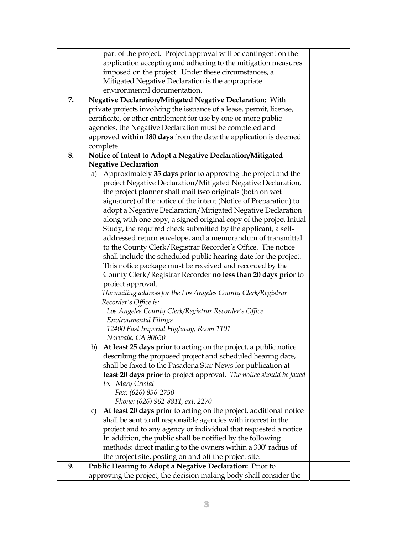|    | part of the project. Project approval will be contingent on the          |  |
|----|--------------------------------------------------------------------------|--|
|    | application accepting and adhering to the mitigation measures            |  |
|    | imposed on the project. Under these circumstances, a                     |  |
|    | Mitigated Negative Declaration is the appropriate                        |  |
|    | environmental documentation.                                             |  |
| 7. | Negative Declaration/Mitigated Negative Declaration: With                |  |
|    | private projects involving the issuance of a lease, permit, license,     |  |
|    | certificate, or other entitlement for use by one or more public          |  |
|    |                                                                          |  |
|    | agencies, the Negative Declaration must be completed and                 |  |
|    | approved within 180 days from the date the application is deemed         |  |
|    | complete.                                                                |  |
| 8. | Notice of Intent to Adopt a Negative Declaration/Mitigated               |  |
|    | <b>Negative Declaration</b>                                              |  |
|    | Approximately 35 days prior to approving the project and the<br>a)       |  |
|    | project Negative Declaration/Mitigated Negative Declaration,             |  |
|    | the project planner shall mail two originals (both on wet                |  |
|    | signature) of the notice of the intent (Notice of Preparation) to        |  |
|    | adopt a Negative Declaration/Mitigated Negative Declaration              |  |
|    | along with one copy, a signed original copy of the project Initial       |  |
|    | Study, the required check submitted by the applicant, a self-            |  |
|    | addressed return envelope, and a memorandum of transmittal               |  |
|    | to the County Clerk/Registrar Recorder's Office. The notice              |  |
|    | shall include the scheduled public hearing date for the project.         |  |
|    | This notice package must be received and recorded by the                 |  |
|    | County Clerk/Registrar Recorder no less than 20 days prior to            |  |
|    | project approval.                                                        |  |
|    | The mailing address for the Los Angeles County Clerk/Registrar           |  |
|    | Recorder's Office is:                                                    |  |
|    | Los Angeles County Clerk/Registrar Recorder's Office                     |  |
|    | Environmental Filings                                                    |  |
|    | 12400 East Imperial Highway, Room 1101                                   |  |
|    | Norwalk, CA 90650                                                        |  |
|    | At least 25 days prior to acting on the project, a public notice<br>b)   |  |
|    | describing the proposed project and scheduled hearing date,              |  |
|    | shall be faxed to the Pasadena Star News for publication at              |  |
|    |                                                                          |  |
|    | least 20 days prior to project approval. The notice should be faxed      |  |
|    | to: Mary Cristal                                                         |  |
|    | Fax: (626) 856-2750                                                      |  |
|    | Phone: (626) 962-8811, ext. 2270                                         |  |
|    | At least 20 days prior to acting on the project, additional notice<br>C) |  |
|    | shall be sent to all responsible agencies with interest in the           |  |
|    | project and to any agency or individual that requested a notice.         |  |
|    | In addition, the public shall be notified by the following               |  |
|    | methods: direct mailing to the owners within a 300' radius of            |  |
|    | the project site, posting on and off the project site.                   |  |
| 9. | Public Hearing to Adopt a Negative Declaration: Prior to                 |  |
|    | approving the project, the decision making body shall consider the       |  |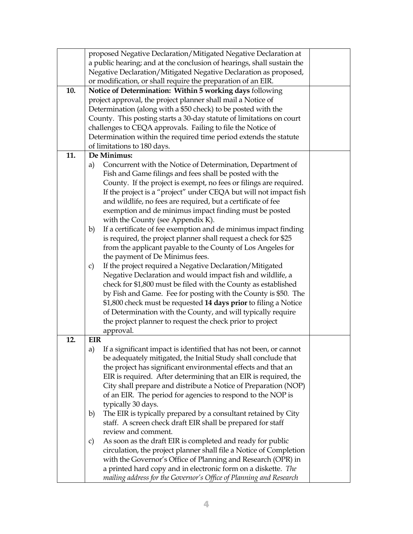|     | proposed Negative Declaration/Mitigated Negative Declaration at            |  |  |  |  |
|-----|----------------------------------------------------------------------------|--|--|--|--|
|     | a public hearing; and at the conclusion of hearings, shall sustain the     |  |  |  |  |
|     | Negative Declaration/Mitigated Negative Declaration as proposed,           |  |  |  |  |
|     | or modification, or shall require the preparation of an EIR.               |  |  |  |  |
| 10. | Notice of Determination: Within 5 working days following                   |  |  |  |  |
|     | project approval, the project planner shall mail a Notice of               |  |  |  |  |
|     | Determination (along with a \$50 check) to be posted with the              |  |  |  |  |
|     | County. This posting starts a 30-day statute of limitations on court       |  |  |  |  |
|     | challenges to CEQA approvals. Failing to file the Notice of                |  |  |  |  |
|     | Determination within the required time period extends the statute          |  |  |  |  |
|     | of limitations to 180 days.                                                |  |  |  |  |
| 11. | De Minimus:                                                                |  |  |  |  |
|     | Concurrent with the Notice of Determination, Department of<br>a)           |  |  |  |  |
|     | Fish and Game filings and fees shall be posted with the                    |  |  |  |  |
|     | County. If the project is exempt, no fees or filings are required.         |  |  |  |  |
|     | If the project is a "project" under CEQA but will not impact fish          |  |  |  |  |
|     | and wildlife, no fees are required, but a certificate of fee               |  |  |  |  |
|     | exemption and de minimus impact finding must be posted                     |  |  |  |  |
|     | with the County (see Appendix K).                                          |  |  |  |  |
|     | If a certificate of fee exemption and de minimus impact finding<br>b)      |  |  |  |  |
|     | is required, the project planner shall request a check for \$25            |  |  |  |  |
|     | from the applicant payable to the County of Los Angeles for                |  |  |  |  |
|     | the payment of De Minimus fees.                                            |  |  |  |  |
|     | If the project required a Negative Declaration/Mitigated<br>c)             |  |  |  |  |
|     | Negative Declaration and would impact fish and wildlife, a                 |  |  |  |  |
|     | check for \$1,800 must be filed with the County as established             |  |  |  |  |
|     | by Fish and Game. Fee for posting with the County is \$50. The             |  |  |  |  |
|     | \$1,800 check must be requested 14 days prior to filing a Notice           |  |  |  |  |
|     | of Determination with the County, and will typically require               |  |  |  |  |
|     | the project planner to request the check prior to project                  |  |  |  |  |
|     | approval.                                                                  |  |  |  |  |
| 12. | EIR                                                                        |  |  |  |  |
|     | a) If a significant impact is identified that has not been, or cannot      |  |  |  |  |
|     | be adequately mitigated, the Initial Study shall conclude that             |  |  |  |  |
|     | the project has significant environmental effects and that an              |  |  |  |  |
|     | EIR is required. After determining that an EIR is required, the            |  |  |  |  |
|     | City shall prepare and distribute a Notice of Preparation (NOP)            |  |  |  |  |
|     | of an EIR. The period for agencies to respond to the NOP is                |  |  |  |  |
|     | typically 30 days.                                                         |  |  |  |  |
|     | The EIR is typically prepared by a consultant retained by City<br>b)       |  |  |  |  |
|     | staff. A screen check draft EIR shall be prepared for staff                |  |  |  |  |
|     | review and comment.                                                        |  |  |  |  |
|     | As soon as the draft EIR is completed and ready for public<br>$\mathbf{C}$ |  |  |  |  |
|     | circulation, the project planner shall file a Notice of Completion         |  |  |  |  |
|     | with the Governor's Office of Planning and Research (OPR) in               |  |  |  |  |
|     | a printed hard copy and in electronic form on a diskette. The              |  |  |  |  |
|     | mailing address for the Governor's Office of Planning and Research         |  |  |  |  |